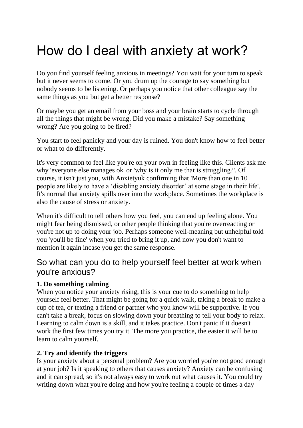# How do I deal with anxiety at work?

Do you find yourself feeling anxious in meetings? You wait for your turn to speak but it never seems to come. Or you drum up the courage to say something but nobody seems to be listening. Or perhaps you notice that other colleague say the same things as you but get a better response?

Or maybe you get an email from your boss and your brain starts to cycle through all the things that might be wrong. Did you make a mistake? Say something wrong? Are you going to be fired?

You start to feel panicky and your day is ruined. You don't know how to feel better or what to do differently.

It's very common to feel like you're on your own in feeling like this. Clients ask me why 'everyone else manages ok' or 'why is it only me that is struggling?'. Of course, it isn't just you, with Anxietyuk confirming that 'More than one in 10 people are likely to have a 'disabling anxiety disorder' at some stage in their life'. It's normal that anxiety spills over into the workplace. Sometimes the workplace is also the cause of stress or anxiety.

When it's difficult to tell others how you feel, you can end up feeling alone. You might fear being dismissed, or other people thinking that you're overreacting or you're not up to doing your job. Perhaps someone well-meaning but unhelpful told you 'you'll be fine' when you tried to bring it up, and now you don't want to mention it again incase you get the same response.

## So what can you do to help yourself feel better at work when you're anxious?

### **1. Do something calming**

When you notice your anxiety rising, this is your cue to do something to help yourself feel better. That might be going for a quick walk, taking a break to make a cup of tea, or texting a friend or partner who you know will be supportive. If you can't take a break, focus on slowing down your breathing to tell your body to relax. Learning to calm down is a skill, and it takes practice. Don't panic if it doesn't work the first few times you try it. The more you practice, the easier it will be to learn to calm yourself.

#### **2. Try and identify the triggers**

Is your anxiety about a personal problem? Are you worried you're not good enough at your job? Is it speaking to others that causes anxiety? Anxiety can be confusing and it can spread, so it's not always easy to work out what causes it. You could try writing down what you're doing and how you're feeling a couple of times a day